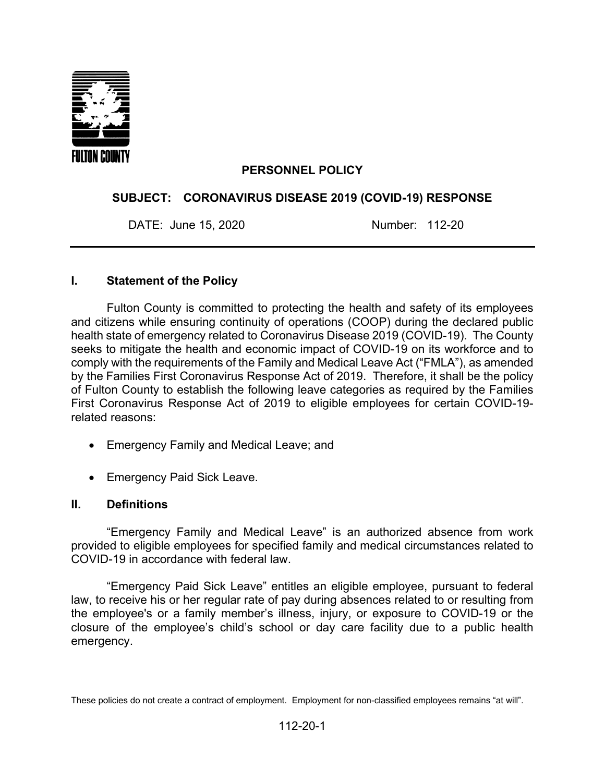

### **PERSONNEL POLICY**

#### **SUBJECT: CORONAVIRUS DISEASE 2019 (COVID-19) RESPONSE**

DATE: June 15, 2020 Number: 112-20

#### **I. Statement of the Policy**

Fulton County is committed to protecting the health and safety of its employees and citizens while ensuring continuity of operations (COOP) during the declared public health state of emergency related to Coronavirus Disease 2019 (COVID-19). The County seeks to mitigate the health and economic impact of COVID-19 on its workforce and to comply with the requirements of the Family and Medical Leave Act ("FMLA"), as amended by the Families First Coronavirus Response Act of 2019. Therefore, it shall be the policy of Fulton County to establish the following leave categories as required by the Families First Coronavirus Response Act of 2019 to eligible employees for certain COVID-19 related reasons:

- Emergency Family and Medical Leave; and
- Emergency Paid Sick Leave.

#### **II. Definitions**

"Emergency Family and Medical Leave" is an authorized absence from work provided to eligible employees for specified family and medical circumstances related to COVID-19 in accordance with federal law.

"Emergency Paid Sick Leave" entitles an eligible employee, pursuant to federal law, to receive his or her regular rate of pay during absences related to or resulting from the employee's or a family member's illness, injury, or exposure to COVID-19 or the closure of the employee's child's school or day care facility due to a public health emergency.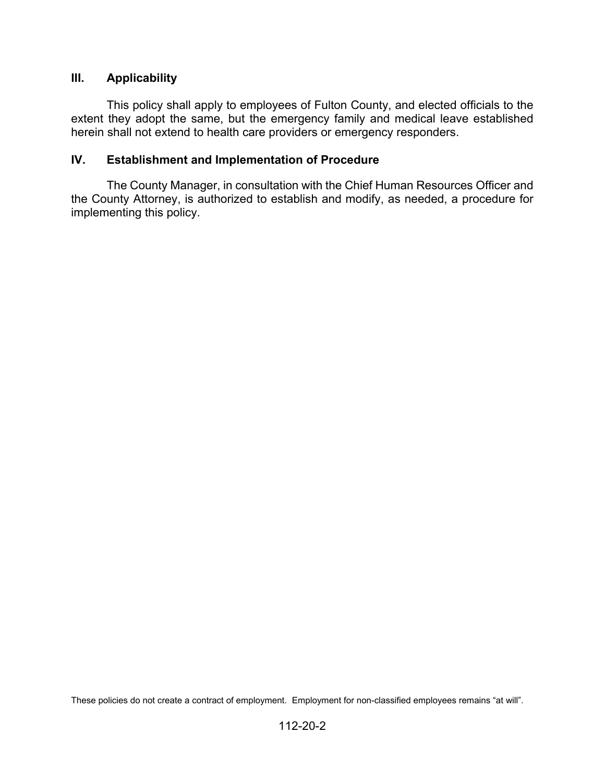## **III. Applicability**

This policy shall apply to employees of Fulton County, and elected officials to the extent they adopt the same, but the emergency family and medical leave established herein shall not extend to health care providers or emergency responders.

### **IV. Establishment and Implementation of Procedure**

The County Manager, in consultation with the Chief Human Resources Officer and the County Attorney, is authorized to establish and modify, as needed, a procedure for implementing this policy.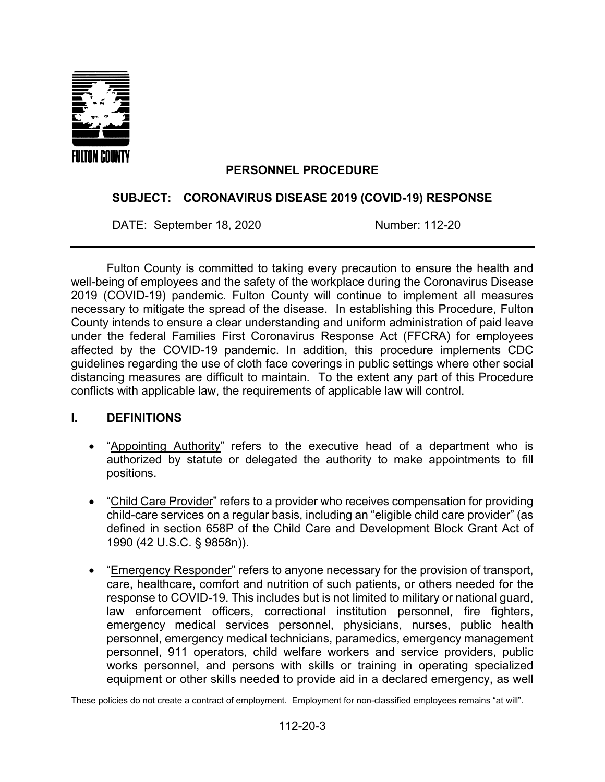

## **PERSONNEL PROCEDURE**

## **SUBJECT: CORONAVIRUS DISEASE 2019 (COVID-19) RESPONSE**

DATE: September 18, 2020 Number: 112-20

Fulton County is committed to taking every precaution to ensure the health and well-being of employees and the safety of the workplace during the Coronavirus Disease 2019 (COVID-19) pandemic. Fulton County will continue to implement all measures necessary to mitigate the spread of the disease. In establishing this Procedure, Fulton County intends to ensure a clear understanding and uniform administration of paid leave under the federal Families First Coronavirus Response Act (FFCRA) for employees affected by the COVID-19 pandemic. In addition, this procedure implements CDC guidelines regarding the use of cloth face coverings in public settings where other social distancing measures are difficult to maintain. To the extent any part of this Procedure conflicts with applicable law, the requirements of applicable law will control.

#### **I. DEFINITIONS**

- "Appointing Authority" refers to the executive head of a department who is authorized by statute or delegated the authority to make appointments to fill positions.
- "Child Care Provider" refers to a provider who receives compensation for providing child-care services on a regular basis, including an "eligible child care provider" (as defined in section 658P of the Child Care and Development Block Grant Act of 1990 (42 U.S.C. § 9858n)).
- "Emergency Responder" refers to anyone necessary for the provision of transport, care, healthcare, comfort and nutrition of such patients, or others needed for the response to COVID-19. This includes but is not limited to military or national guard, law enforcement officers, correctional institution personnel, fire fighters, emergency medical services personnel, physicians, nurses, public health personnel, emergency medical technicians, paramedics, emergency management personnel, 911 operators, child welfare workers and service providers, public works personnel, and persons with skills or training in operating specialized equipment or other skills needed to provide aid in a declared emergency, as well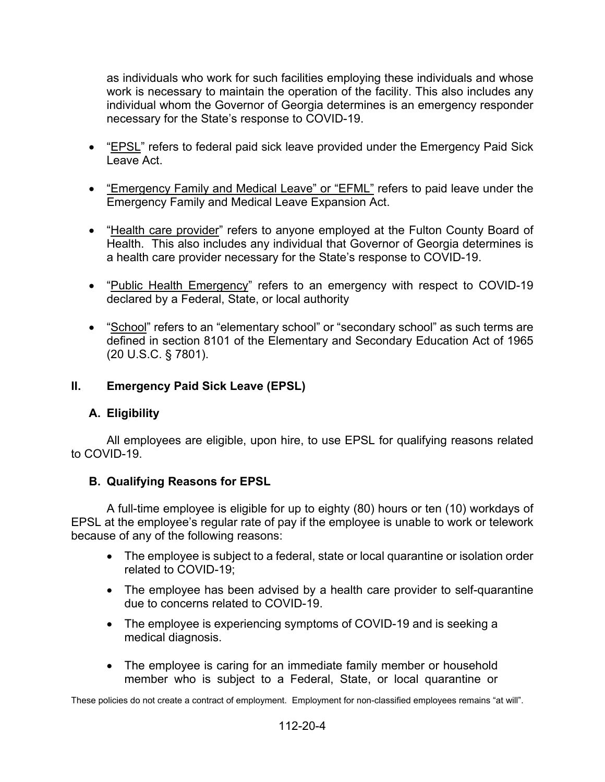as individuals who work for such facilities employing these individuals and whose work is necessary to maintain the operation of the facility. This also includes any individual whom the Governor of Georgia determines is an emergency responder necessary for the State's response to COVID-19.

- "EPSL" refers to federal paid sick leave provided under the Emergency Paid Sick Leave Act.
- <u>"Emergency Family and Medical Leave" or "EFML</u>" refers to paid leave under the Emergency Family and Medical Leave Expansion Act.
- "Health care provider" refers to anyone employed at the Fulton County Board of Health. This also includes any individual that Governor of Georgia determines is a health care provider necessary for the State's response to COVID-19.
- "Public Health Emergency" refers to an emergency with respect to COVID-19 declared by a Federal, State, or local authority
- "School" refers to an "elementary school" or "secondary school" as such terms are defined in section 8101 of the Elementary and Secondary Education Act of 1965 (20 U.S.C. § 7801).

## **II. Emergency Paid Sick Leave (EPSL)**

## **A. Eligibility**

All employees are eligible, upon hire, to use EPSL for qualifying reasons related to COVID-19.

## **B. Qualifying Reasons for EPSL**

A full-time employee is eligible for up to eighty (80) hours or ten (10) workdays of EPSL at the employee's regular rate of pay if the employee is unable to work or telework because of any of the following reasons:

- The employee is subject to a federal, state or local quarantine or isolation order related to COVID-19;
- The employee has been advised by a health care provider to self-quarantine due to concerns related to COVID-19.
- The employee is experiencing symptoms of COVID-19 and is seeking a medical diagnosis.
- The employee is caring for an immediate family member or household member who is subject to a Federal, State, or local quarantine or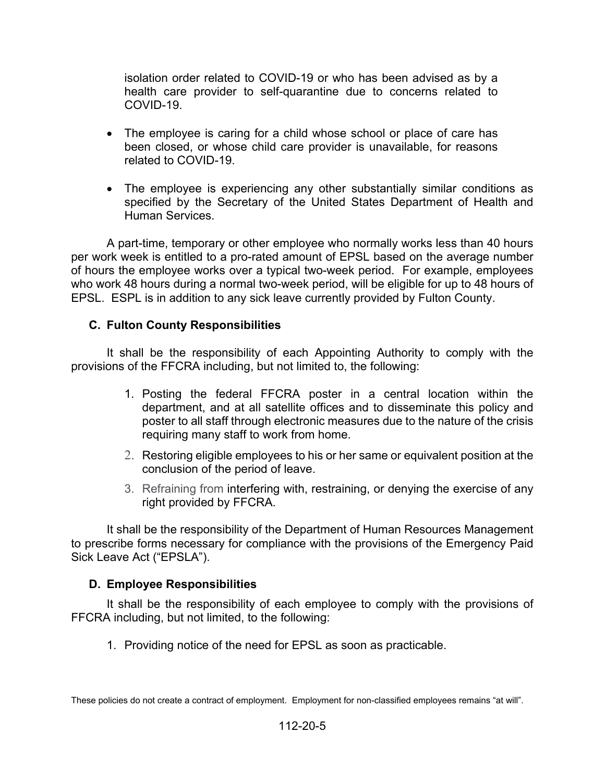isolation order related to COVID-19 or who has been advised as by a health care provider to self-quarantine due to concerns related to COVID-19.

- The employee is caring for a child whose school or place of care has been closed, or whose child care provider is unavailable, for reasons related to COVID-19.
- The employee is experiencing any other substantially similar conditions as specified by the Secretary of the United States Department of Health and Human Services.

A part-time, temporary or other employee who normally works less than 40 hours per work week is entitled to a pro-rated amount of EPSL based on the average number of hours the employee works over a typical two-week period. For example, employees who work 48 hours during a normal two-week period, will be eligible for up to 48 hours of EPSL. ESPL is in addition to any sick leave currently provided by Fulton County.

## **C. Fulton County Responsibilities**

It shall be the responsibility of each Appointing Authority to comply with the provisions of the FFCRA including, but not limited to, the following:

- 1. Posting the federal FFCRA poster in a central location within the department, and at all satellite offices and to disseminate this policy and poster to all staff through electronic measures due to the nature of the crisis requiring many staff to work from home.
- 2. Restoring eligible employees to his or her same or equivalent position at the conclusion of the period of leave.
- 3. Refraining from interfering with, restraining, or denying the exercise of any right provided by FFCRA.

It shall be the responsibility of the Department of Human Resources Management to prescribe forms necessary for compliance with the provisions of the Emergency Paid Sick Leave Act ("EPSLA").

#### **D. Employee Responsibilities**

It shall be the responsibility of each employee to comply with the provisions of FFCRA including, but not limited, to the following:

1. Providing notice of the need for EPSL as soon as practicable.

These policies do not create a contract of employment. Employment for non-classified employees remains "at will".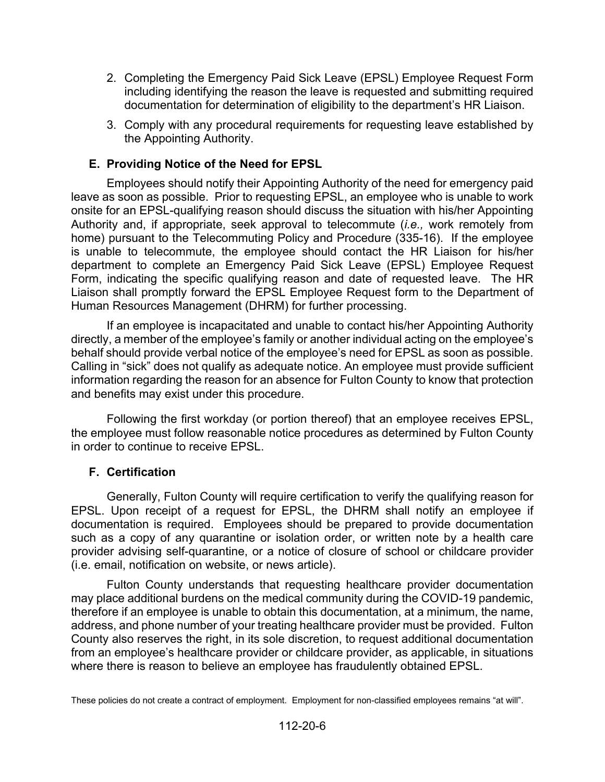- 2. Completing the Emergency Paid Sick Leave (EPSL) Employee Request Form including identifying the reason the leave is requested and submitting required documentation for determination of eligibility to the department's HR Liaison.
- 3. Comply with any procedural requirements for requesting leave established by the Appointing Authority.

## **E. Providing Notice of the Need for EPSL**

Employees should notify their Appointing Authority of the need for emergency paid leave as soon as possible. Prior to requesting EPSL, an employee who is unable to work onsite for an EPSL-qualifying reason should discuss the situation with his/her Appointing Authority and, if appropriate, seek approval to telecommute (*i.e.,* work remotely from home) pursuant to the Telecommuting Policy and Procedure (335-16). If the employee is unable to telecommute, the employee should contact the HR Liaison for his/her department to complete an Emergency Paid Sick Leave (EPSL) Employee Request Form, indicating the specific qualifying reason and date of requested leave. The HR Liaison shall promptly forward the EPSL Employee Request form to the Department of Human Resources Management (DHRM) for further processing.

If an employee is incapacitated and unable to contact his/her Appointing Authority directly, a member of the employee's family or another individual acting on the employee's behalf should provide verbal notice of the employee's need for EPSL as soon as possible. Calling in "sick" does not qualify as adequate notice. An employee must provide sufficient information regarding the reason for an absence for Fulton County to know that protection and benefits may exist under this procedure.

Following the first workday (or portion thereof) that an employee receives EPSL, the employee must follow reasonable notice procedures as determined by Fulton County in order to continue to receive EPSL.

## **F. Certification**

Generally, Fulton County will require certification to verify the qualifying reason for EPSL. Upon receipt of a request for EPSL, the DHRM shall notify an employee if documentation is required. Employees should be prepared to provide documentation such as a copy of any quarantine or isolation order, or written note by a health care provider advising self-quarantine, or a notice of closure of school or childcare provider (i.e. email, notification on website, or news article).

Fulton County understands that requesting healthcare provider documentation may place additional burdens on the medical community during the COVID-19 pandemic, therefore if an employee is unable to obtain this documentation, at a minimum, the name, address, and phone number of your treating healthcare provider must be provided. Fulton County also reserves the right, in its sole discretion, to request additional documentation from an employee's healthcare provider or childcare provider, as applicable, in situations where there is reason to believe an employee has fraudulently obtained EPSL.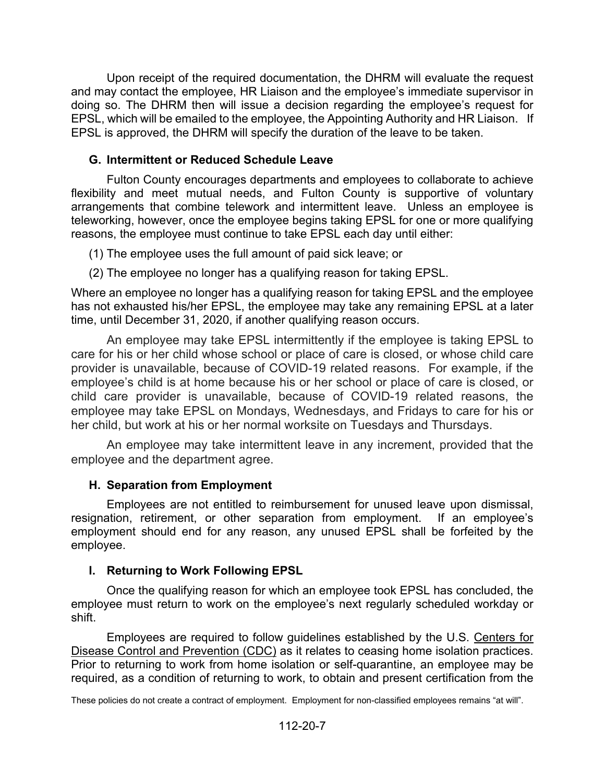Upon receipt of the required documentation, the DHRM will evaluate the request and may contact the employee, HR Liaison and the employee's immediate supervisor in doing so. The DHRM then will issue a decision regarding the employee's request for EPSL, which will be emailed to the employee, the Appointing Authority and HR Liaison. If EPSL is approved, the DHRM will specify the duration of the leave to be taken.

## **G. Intermittent or Reduced Schedule Leave**

Fulton County encourages departments and employees to collaborate to achieve flexibility and meet mutual needs, and Fulton County is supportive of voluntary arrangements that combine telework and intermittent leave. Unless an employee is teleworking, however, once the employee begins taking EPSL for one or more qualifying reasons, the employee must continue to take EPSL each day until either:

(1) The employee uses the full amount of paid sick leave; or

(2) The employee no longer has a qualifying reason for taking EPSL.

Where an employee no longer has a qualifying reason for taking EPSL and the employee has not exhausted his/her EPSL, the employee may take any remaining EPSL at a later time, until December 31, 2020, if another qualifying reason occurs.

An employee may take EPSL intermittently if the employee is taking EPSL to care for his or her child whose school or place of care is closed, or whose child care provider is unavailable, because of COVID-19 related reasons. For example, if the employee's child is at home because his or her school or place of care is closed, or child care provider is unavailable, because of COVID-19 related reasons, the employee may take EPSL on Mondays, Wednesdays, and Fridays to care for his or her child, but work at his or her normal worksite on Tuesdays and Thursdays.

An employee may take intermittent leave in any increment, provided that the employee and the department agree.

## **H. Separation from Employment**

Employees are not entitled to reimbursement for unused leave upon dismissal, resignation, retirement, or other separation from employment. If an employee's employment should end for any reason, any unused EPSL shall be forfeited by the employee.

## **I. Returning to Work Following EPSL**

Once the qualifying reason for which an employee took EPSL has concluded, the employee must return to work on the employee's next regularly scheduled workday or shift.

Employees are required to follow guidelines established by the U.S. [Centers for](https://www.cdc.gov/coronavirus/2019-ncov/if-you-are-sick/steps-when-sick.html)  [Disease Control and Prevention](https://www.cdc.gov/coronavirus/2019-ncov/if-you-are-sick/steps-when-sick.html) (CDC) as it relates to ceasing home isolation practices. Prior to returning to work from home isolation or self-quarantine, an employee may be required, as a condition of returning to work, to obtain and present certification from the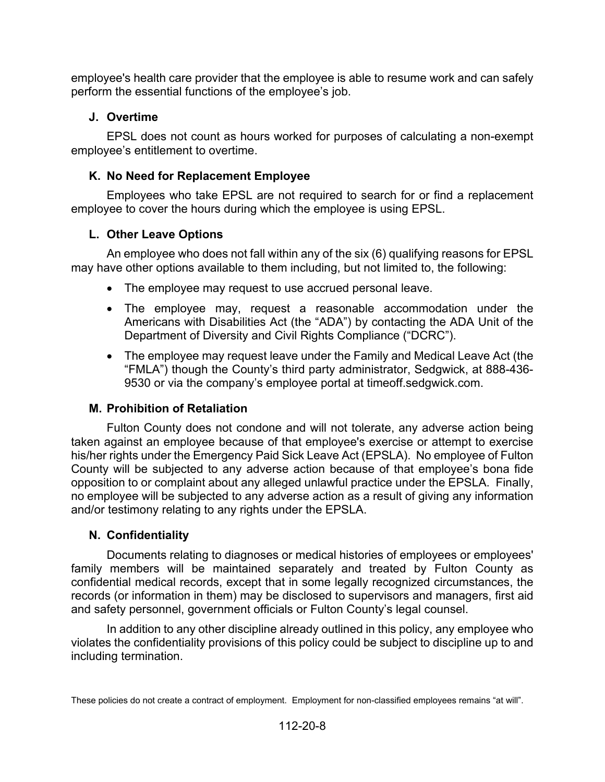employee's health care provider that the employee is able to resume work and can safely perform the essential functions of the employee's job.

## **J. Overtime**

EPSL does not count as hours worked for purposes of calculating a non-exempt employee's entitlement to overtime.

## **K. No Need for Replacement Employee**

Employees who take EPSL are not required to search for or find a replacement employee to cover the hours during which the employee is using EPSL.

# **L. Other Leave Options**

An employee who does not fall within any of the six (6) qualifying reasons for EPSL may have other options available to them including, but not limited to, the following:

- The employee may request to use accrued personal leave.
- The employee may, request a reasonable accommodation under the Americans with Disabilities Act (the "ADA") by contacting the ADA Unit of the Department of Diversity and Civil Rights Compliance ("DCRC").
- The employee may request leave under the Family and Medical Leave Act (the "FMLA") though the County's third party administrator, Sedgwick, at 888-436- 9530 or via the company's employee portal at timeoff.sedgwick.com.

## **M. Prohibition of Retaliation**

Fulton County does not condone and will not tolerate, any adverse action being taken against an employee because of that employee's exercise or attempt to exercise his/her rights under the Emergency Paid Sick Leave Act (EPSLA). No employee of Fulton County will be subjected to any adverse action because of that employee's bona fide opposition to or complaint about any alleged unlawful practice under the EPSLA. Finally, no employee will be subjected to any adverse action as a result of giving any information and/or testimony relating to any rights under the EPSLA.

## **N. Confidentiality**

Documents relating to diagnoses or medical histories of employees or employees' family members will be maintained separately and treated by Fulton County as confidential medical records, except that in some legally recognized circumstances, the records (or information in them) may be disclosed to supervisors and managers, first aid and safety personnel, government officials or Fulton County's legal counsel.

In addition to any other discipline already outlined in this policy, any employee who violates the confidentiality provisions of this policy could be subject to discipline up to and including termination.

These policies do not create a contract of employment. Employment for non-classified employees remains "at will".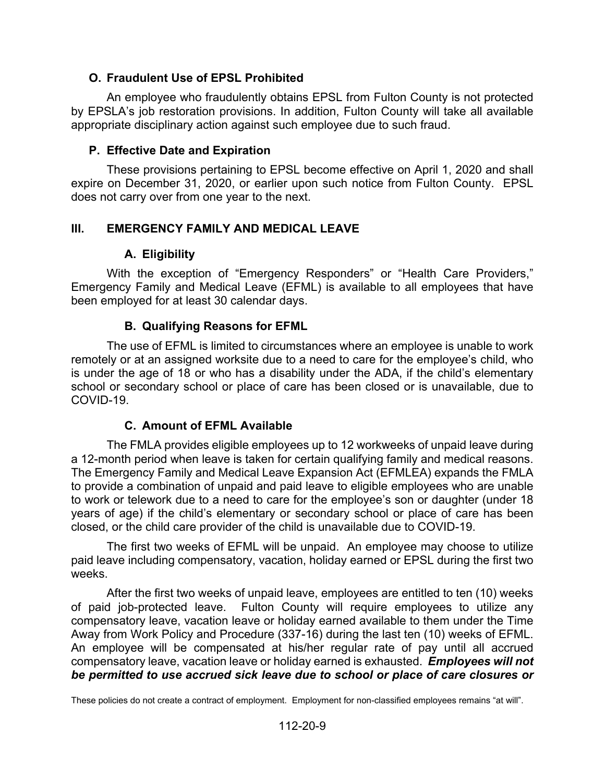## **O. Fraudulent Use of EPSL Prohibited**

An employee who fraudulently obtains EPSL from Fulton County is not protected by EPSLA's job restoration provisions. In addition, Fulton County will take all available appropriate disciplinary action against such employee due to such fraud.

### **P. Effective Date and Expiration**

These provisions pertaining to EPSL become effective on April 1, 2020 and shall expire on December 31, 2020, or earlier upon such notice from Fulton County. EPSL does not carry over from one year to the next.

### **III. EMERGENCY FAMILY AND MEDICAL LEAVE**

### **A. Eligibility**

With the exception of "Emergency Responders" or "Health Care Providers," Emergency Family and Medical Leave (EFML) is available to all employees that have been employed for at least 30 calendar days.

### **B. Qualifying Reasons for EFML**

The use of EFML is limited to circumstances where an employee is unable to work remotely or at an assigned worksite due to a need to care for the employee's child, who is under the age of 18 or who has a disability under the ADA, if the child's elementary school or secondary school or place of care has been closed or is unavailable, due to COVID-19.

## **C. Amount of EFML Available**

The FMLA provides eligible employees up to 12 workweeks of unpaid leave during a 12-month period when leave is taken for certain qualifying family and medical reasons. The Emergency Family and Medical Leave Expansion Act (EFMLEA) expands the FMLA to provide a combination of unpaid and paid leave to eligible employees who are unable to work or telework due to a need to care for the employee's son or daughter (under 18 years of age) if the child's elementary or secondary school or place of care has been closed, or the child care provider of the child is unavailable due to COVID-19.

The first two weeks of EFML will be unpaid. An employee may choose to utilize paid leave including compensatory, vacation, holiday earned or EPSL during the first two weeks.

After the first two weeks of unpaid leave, employees are entitled to ten (10) weeks of paid job-protected leave. Fulton County will require employees to utilize any compensatory leave, vacation leave or holiday earned available to them under the Time Away from Work Policy and Procedure (337-16) during the last ten (10) weeks of EFML. An employee will be compensated at his/her regular rate of pay until all accrued compensatory leave, vacation leave or holiday earned is exhausted. *Employees will not be permitted to use accrued sick leave due to school or place of care closures or*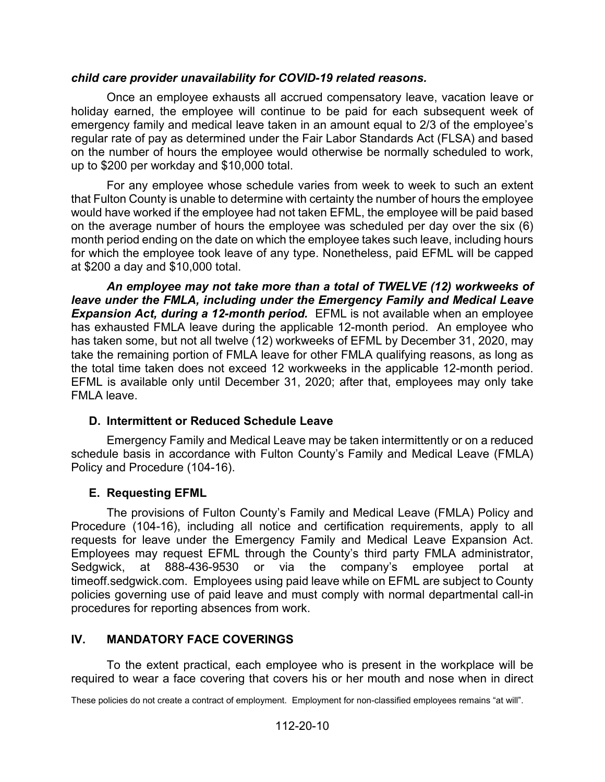### *child care provider unavailability for COVID-19 related reasons.*

Once an employee exhausts all accrued compensatory leave, vacation leave or holiday earned, the employee will continue to be paid for each subsequent week of emergency family and medical leave taken in an amount equal to 2/3 of the employee's regular rate of pay as determined under the Fair Labor Standards Act (FLSA) and based on the number of hours the employee would otherwise be normally scheduled to work, up to \$200 per workday and \$10,000 total.

For any employee whose schedule varies from week to week to such an extent that Fulton County is unable to determine with certainty the number of hours the employee would have worked if the employee had not taken EFML, the employee will be paid based on the average number of hours the employee was scheduled per day over the six (6) month period ending on the date on which the employee takes such leave, including hours for which the employee took leave of any type. Nonetheless, paid EFML will be capped at \$200 a day and \$10,000 total.

*An employee may not take more than a total of TWELVE (12) workweeks of leave under the FMLA, including under the Emergency Family and Medical Leave Expansion Act, during a 12-month period.* EFML is not available when an employee has exhausted FMLA leave during the applicable 12-month period.An employee who has taken some, but not all twelve (12) workweeks of EFML by December 31, 2020, may take the remaining portion of FMLA leave for other FMLA qualifying reasons, as long as the total time taken does not exceed 12 workweeks in the applicable 12-month period. EFML is available only until December 31, 2020; after that, employees may only take FMLA leave.

## **D. Intermittent or Reduced Schedule Leave**

Emergency Family and Medical Leave may be taken intermittently or on a reduced schedule basis in accordance with Fulton County's Family and Medical Leave (FMLA) Policy and Procedure (104-16).

## **E. Requesting EFML**

The provisions of Fulton County's Family and Medical Leave (FMLA) Policy and Procedure (104-16), including all notice and certification requirements, apply to all requests for leave under the Emergency Family and Medical Leave Expansion Act. Employees may request EFML through the County's third party FMLA administrator, Sedgwick, at 888-436-9530 or via the company's employee portal at timeoff.sedgwick.com. Employees using paid leave while on EFML are subject to County policies governing use of paid leave and must comply with normal departmental call-in procedures for reporting absences from work.

## **IV. MANDATORY FACE COVERINGS**

To the extent practical, each employee who is present in the workplace will be required to wear a face covering that covers his or her mouth and nose when in direct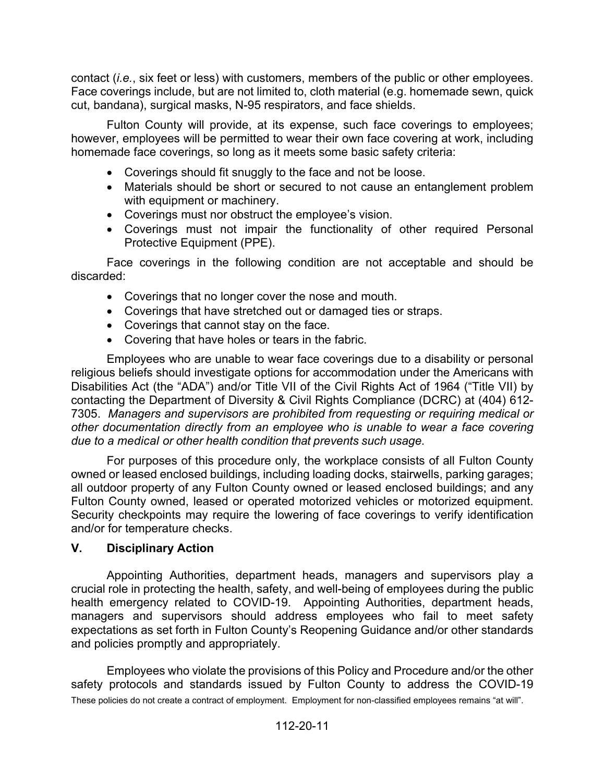contact (*i.e.*, six feet or less) with customers, members of the public or other employees. Face coverings include, but are not limited to, cloth material (e.g. homemade sewn, quick cut, bandana), surgical masks, N-95 respirators, and face shields.

Fulton County will provide, at its expense, such face coverings to employees; however, employees will be permitted to wear their own face covering at work, including homemade face coverings, so long as it meets some basic safety criteria:

- Coverings should fit snuggly to the face and not be loose.
- Materials should be short or secured to not cause an entanglement problem with equipment or machinery.
- Coverings must nor obstruct the employee's vision.
- Coverings must not impair the functionality of other required Personal Protective Equipment (PPE).

Face coverings in the following condition are not acceptable and should be discarded:

- Coverings that no longer cover the nose and mouth.
- Coverings that have stretched out or damaged ties or straps.
- Coverings that cannot stay on the face.
- Covering that have holes or tears in the fabric.

Employees who are unable to wear face coverings due to a disability or personal religious beliefs should investigate options for accommodation under the Americans with Disabilities Act (the "ADA") and/or Title VII of the Civil Rights Act of 1964 ("Title VII) by contacting the Department of Diversity & Civil Rights Compliance (DCRC) at (404) 612- 7305. *Managers and supervisors are prohibited from requesting or requiring medical or other documentation directly from an employee who is unable to wear a face covering due to a medical or other health condition that prevents such usage.*

For purposes of this procedure only, the workplace consists of all Fulton County owned or leased enclosed buildings, including loading docks, stairwells, parking garages; all outdoor property of any Fulton County owned or leased enclosed buildings; and any Fulton County owned, leased or operated motorized vehicles or motorized equipment. Security checkpoints may require the lowering of face coverings to verify identification and/or for temperature checks.

#### **V. Disciplinary Action**

Appointing Authorities, department heads, managers and supervisors play a crucial role in protecting the health, safety, and well-being of employees during the public health emergency related to COVID-19. Appointing Authorities, department heads, managers and supervisors should address employees who fail to meet safety expectations as set forth in Fulton County's Reopening Guidance and/or other standards and policies promptly and appropriately.

These policies do not create a contract of employment. Employment for non-classified employees remains "at will". Employees who violate the provisions of this Policy and Procedure and/or the other safety protocols and standards issued by Fulton County to address the COVID-19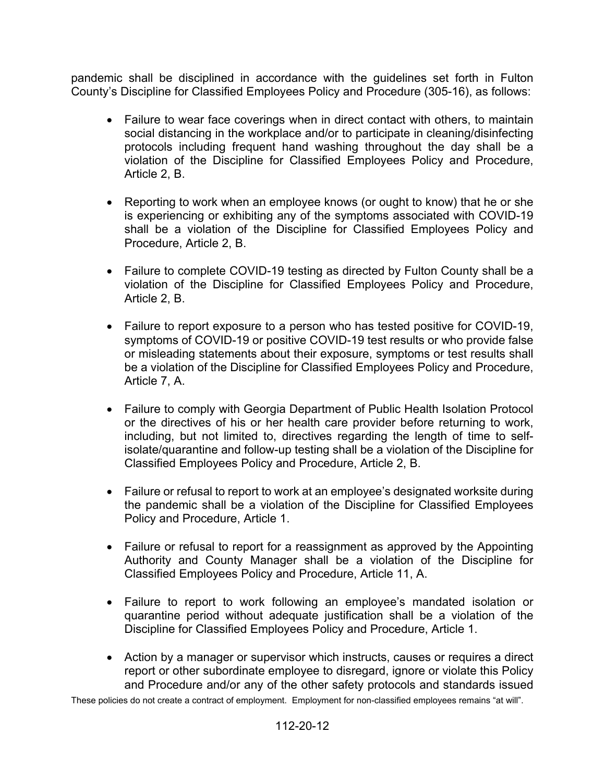pandemic shall be disciplined in accordance with the guidelines set forth in Fulton County's Discipline for Classified Employees Policy and Procedure (305-16), as follows:

- Failure to wear face coverings when in direct contact with others, to maintain social distancing in the workplace and/or to participate in cleaning/disinfecting protocols including frequent hand washing throughout the day shall be a violation of the Discipline for Classified Employees Policy and Procedure, Article 2, B.
- Reporting to work when an employee knows (or ought to know) that he or she is experiencing or exhibiting any of the symptoms associated with COVID-19 shall be a violation of the Discipline for Classified Employees Policy and Procedure, Article 2, B.
- Failure to complete COVID-19 testing as directed by Fulton County shall be a violation of the Discipline for Classified Employees Policy and Procedure, Article 2, B.
- Failure to report exposure to a person who has tested positive for COVID-19, symptoms of COVID-19 or positive COVID-19 test results or who provide false or misleading statements about their exposure, symptoms or test results shall be a violation of the Discipline for Classified Employees Policy and Procedure, Article 7, A.
- Failure to comply with Georgia Department of Public Health Isolation Protocol or the directives of his or her health care provider before returning to work, including, but not limited to, directives regarding the length of time to selfisolate/quarantine and follow-up testing shall be a violation of the Discipline for Classified Employees Policy and Procedure, Article 2, B.
- Failure or refusal to report to work at an employee's designated worksite during the pandemic shall be a violation of the Discipline for Classified Employees Policy and Procedure, Article 1.
- Failure or refusal to report for a reassignment as approved by the Appointing Authority and County Manager shall be a violation of the Discipline for Classified Employees Policy and Procedure, Article 11, A.
- Failure to report to work following an employee's mandated isolation or quarantine period without adequate justification shall be a violation of the Discipline for Classified Employees Policy and Procedure, Article 1.
- Action by a manager or supervisor which instructs, causes or requires a direct report or other subordinate employee to disregard, ignore or violate this Policy and Procedure and/or any of the other safety protocols and standards issued